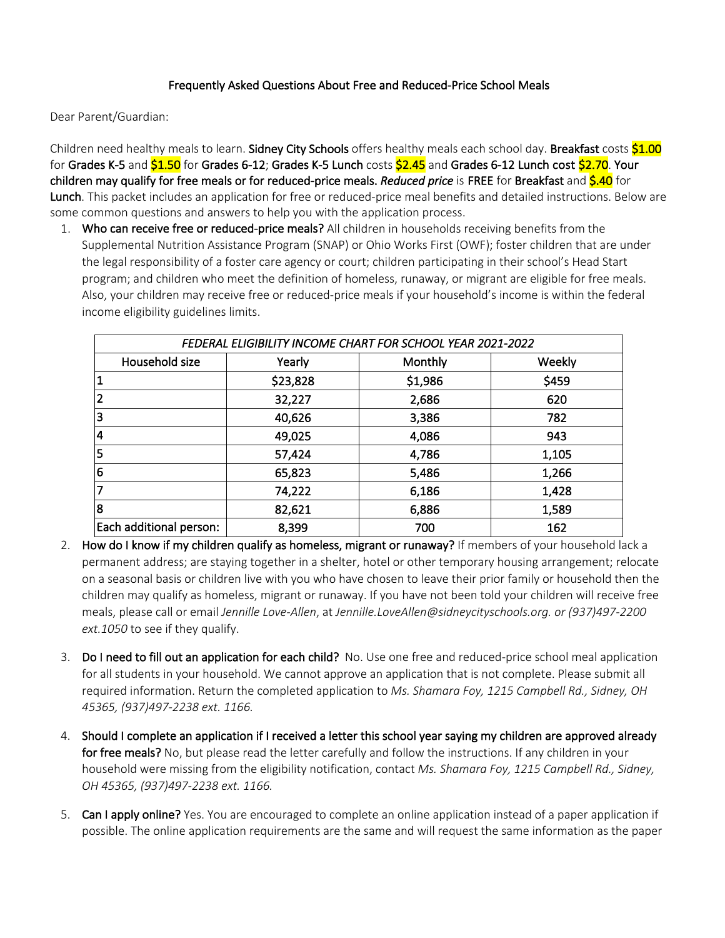### Frequently Asked Questions About Free and Reduced-Price School Meals

Dear Parent/Guardian:

Children need healthy meals to learn. Sidney City Schools offers healthy meals each school day. Breakfast costs \$1.00 for Grades K-5 and \$1.50 for Grades 6-12; Grades K-5 Lunch costs \$2.45 and Grades 6-12 Lunch cost \$2.70. Your children may qualify for free meals or for reduced-price meals. *Reduced price* is FREE for Breakfast and \$.40 for Lunch. This packet includes an application for free or reduced-price meal benefits and detailed instructions. Below are some common questions and answers to help you with the application process.

1. Who can receive free or reduced-price meals? All children in households receiving benefits from the Supplemental Nutrition Assistance Program (SNAP) or Ohio Works First (OWF); foster children that are under the legal responsibility of a foster care agency or court; children participating in their school's Head Start program; and children who meet the definition of homeless, runaway, or migrant are eligible for free meals. Also, your children may receive free or reduced-price meals if your household's income is within the federal income eligibility guidelines limits.

| FEDERAL ELIGIBILITY INCOME CHART FOR SCHOOL YEAR 2021-2022 |          |         |        |  |  |  |  |  |  |
|------------------------------------------------------------|----------|---------|--------|--|--|--|--|--|--|
| Household size                                             | Yearly   | Monthly | Weekly |  |  |  |  |  |  |
| $\overline{\mathbf{1}}$                                    | \$23,828 | \$1,986 | \$459  |  |  |  |  |  |  |
| 2                                                          | 32,227   | 2,686   | 620    |  |  |  |  |  |  |
| 3                                                          | 40,626   | 3,386   | 782    |  |  |  |  |  |  |
| 4                                                          | 49,025   | 4,086   | 943    |  |  |  |  |  |  |
| 5                                                          | 57,424   | 4,786   | 1,105  |  |  |  |  |  |  |
| 6                                                          | 65,823   | 5,486   | 1,266  |  |  |  |  |  |  |
| 7                                                          | 74,222   | 6,186   | 1,428  |  |  |  |  |  |  |
| 8                                                          | 82,621   | 6,886   | 1,589  |  |  |  |  |  |  |
| Each additional person:                                    | 8,399    | 700     | 162    |  |  |  |  |  |  |

- 2. How do I know if my children qualify as homeless, migrant or runaway? If members of your household lack a permanent address; are staying together in a shelter, hotel or other temporary housing arrangement; relocate on a seasonal basis or children live with you who have chosen to leave their prior family or household then the children may qualify as homeless, migrant or runaway. If you have not been told your children will receive free meals, please call or email *Jennille Love-Allen*, at *Jennille.LoveAllen@sidneycityschools.org. or (937)497-2200 ext.1050* to see if they qualify.
- 3. Do I need to fill out an application for each child? No. Use one free and reduced-price school meal application for all students in your household. We cannot approve an application that is not complete. Please submit all required information. Return the completed application to *Ms. Shamara Foy, 1215 Campbell Rd., Sidney, OH 45365, (937)497-2238 ext. 1166.*
- 4. Should I complete an application if I received a letter this school year saying my children are approved already for free meals? No, but please read the letter carefully and follow the instructions. If any children in your household were missing from the eligibility notification, contact *Ms. Shamara Foy, 1215 Campbell Rd., Sidney, OH 45365, (937)497-2238 ext. 1166.*
- 5. Can I apply online? Yes. You are encouraged to complete an online application instead of a paper application if possible. The online application requirements are the same and will request the same information as the paper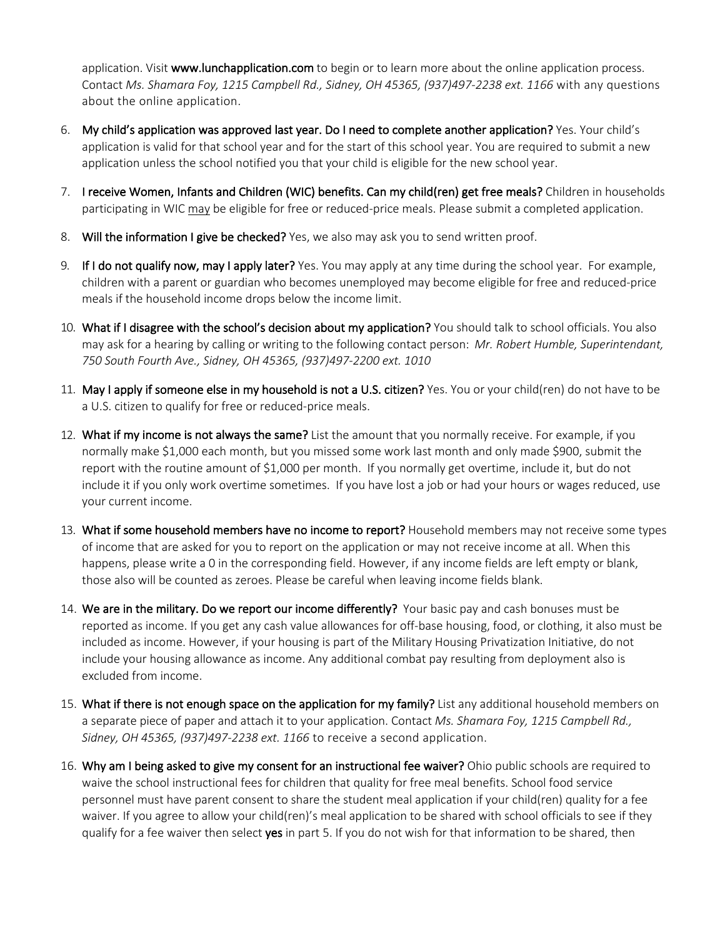application. Visit www.lunchapplication.com to begin or to learn more about the online application process. Contact *Ms. Shamara Foy, 1215 Campbell Rd., Sidney, OH 45365, (937)497-2238 ext. 1166* with any questions about the online application.

- 6. My child's application was approved last year. Do I need to complete another application? Yes. Your child's application is valid for that school year and for the start of this school year. You are required to submit a new application unless the school notified you that your child is eligible for the new school year.
- 7. I receive Women, Infants and Children (WIC) benefits. Can my child(ren) get free meals? Children in households participating in WIC may be eligible for free or reduced-price meals. Please submit a completed application.
- 8. Will the information I give be checked? Yes, we also may ask you to send written proof.
- 9. If I do not qualify now, may I apply later? Yes. You may apply at any time during the school year. For example, children with a parent or guardian who becomes unemployed may become eligible for free and reduced-price meals if the household income drops below the income limit.
- 10. What if I disagree with the school's decision about my application? You should talk to school officials. You also may ask for a hearing by calling or writing to the following contact person: *Mr. Robert Humble, Superintendant, 750 South Fourth Ave., Sidney, OH 45365, (937)497-2200 ext. 1010*
- 11. May I apply if someone else in my household is not a U.S. citizen? Yes. You or your child(ren) do not have to be a U.S. citizen to qualify for free or reduced-price meals.
- 12. What if my income is not always the same? List the amount that you normally receive. For example, if you normally make \$1,000 each month, but you missed some work last month and only made \$900, submit the report with the routine amount of \$1,000 per month. If you normally get overtime, include it, but do not include it if you only work overtime sometimes. If you have lost a job or had your hours or wages reduced, use your current income.
- 13. What if some household members have no income to report? Household members may not receive some types of income that are asked for you to report on the application or may not receive income at all. When this happens, please write a 0 in the corresponding field. However, if any income fields are left empty or blank, those also will be counted as zeroes. Please be careful when leaving income fields blank.
- 14. We are in the military. Do we report our income differently? Your basic pay and cash bonuses must be reported as income. If you get any cash value allowances for off-base housing, food, or clothing, it also must be included as income. However, if your housing is part of the Military Housing Privatization Initiative, do not include your housing allowance as income. Any additional combat pay resulting from deployment also is excluded from income.
- 15. What if there is not enough space on the application for my family? List any additional household members on a separate piece of paper and attach it to your application. Contact *Ms. Shamara Foy, 1215 Campbell Rd., Sidney, OH 45365, (937)497-2238 ext. 1166* to receive a second application.
- 16. Why am I being asked to give my consent for an instructional fee waiver? Ohio public schools are required to waive the school instructional fees for children that quality for free meal benefits. School food service personnel must have parent consent to share the student meal application if your child(ren) quality for a fee waiver. If you agree to allow your child(ren)'s meal application to be shared with school officials to see if they qualify for a fee waiver then select yes in part 5. If you do not wish for that information to be shared, then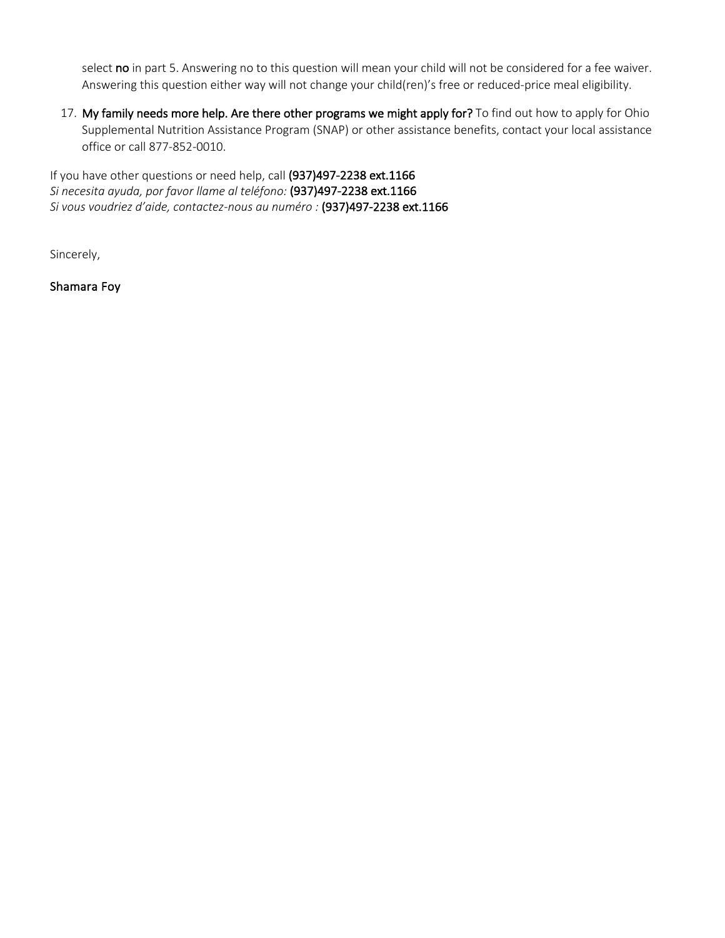select no in part 5. Answering no to this question will mean your child will not be considered for a fee waiver. Answering this question either way will not change your child(ren)'s free or reduced-price meal eligibility.

17. My family needs more help. Are there other programs we might apply for? To find out how to apply for Ohio Supplemental Nutrition Assistance Program (SNAP) or other assistance benefits, contact your local assistance office or call 877-852-0010.

If you have other questions or need help, call (937)497-2238 ext.1166 *Si necesita ayuda, por favor llame al teléfono:* (937)497-2238 ext.1166 *Si vous voudriez d'aide, contactez-nous au numéro :* (937)497-2238 ext.1166

Sincerely,

Shamara Foy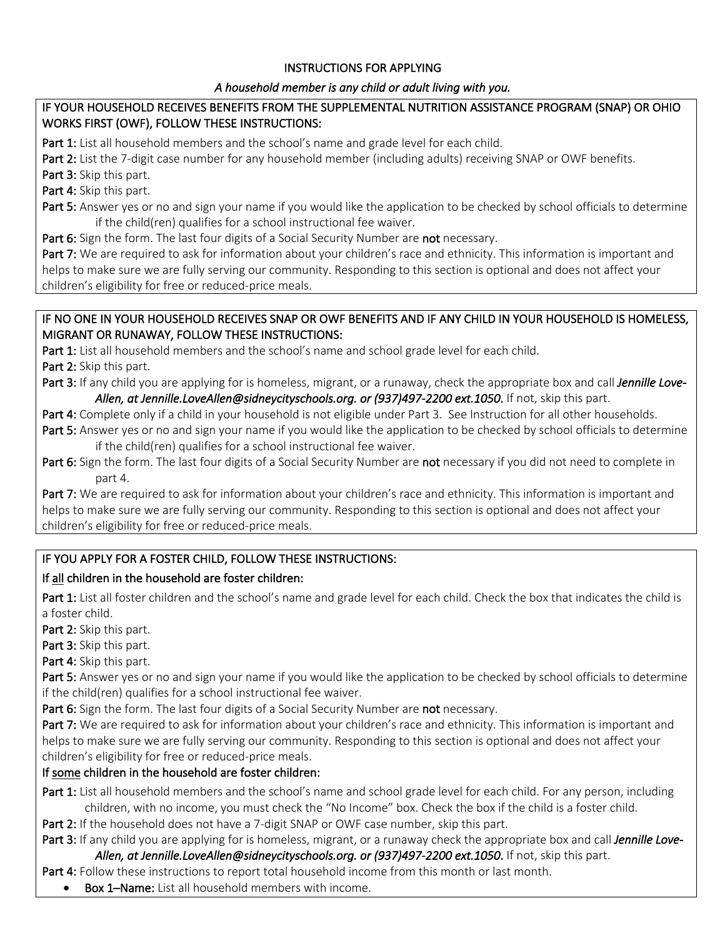### INSTRUCTIONS FOR APPLYING

### *A household member is any child or adult living with you.*

### IF YOUR HOUSEHOLD RECEIVES BENEFITS FROM THE SUPPLEMENTAL NUTRITION ASSISTANCE PROGRAM (SNAP) OR OHIO WORKS FIRST (OWF), FOLLOW THESE INSTRUCTIONS:

Part 1: List all household members and the school's name and grade level for each child.

Part 2: List the 7-digit case number for any household member (including adults) receiving SNAP or OWF benefits.

Part 3: Skip this part.

Part 4: Skip this part.

Part 5: Answer yes or no and sign your name if you would like the application to be checked by school officials to determine if the child(ren) qualifies for a school instructional fee waiver.

Part 6: Sign the form. The last four digits of a Social Security Number are not necessary.

Part 7: We are required to ask for information about your children's race and ethnicity. This information is important and helps to make sure we are fully serving our community. Responding to this section is optional and does not affect your children's eligibility for free or reduced-price meals.

### IF NO ONE IN YOUR HOUSEHOLD RECEIVES SNAP OR OWF BENEFITS AND IF ANY CHILD IN YOUR HOUSEHOLD IS HOMELESS, MIGRANT OR RUNAWAY, FOLLOW THESE INSTRUCTIONS:

Part 1: List all household members and the school's name and school grade level for each child.

Part 2: Skip this part.

Part 3: If any child you are applying for is homeless, migrant, or a runaway, check the appropriate box and call *Jennille Love-Allen, at Jennille.LoveAllen@sidneycityschools.org. or (937)497-2200 ext.1050*. If not, skip this part.

Part 4: Complete only if a child in your household is not eligible under Part 3. See Instruction for all other households.

Part 5: Answer yes or no and sign your name if you would like the application to be checked by school officials to determine if the child(ren) qualifies for a school instructional fee waiver.

Part 6: Sign the form. The last four digits of a Social Security Number are not necessary if you did not need to complete in part 4.

Part 7: We are required to ask for information about your children's race and ethnicity. This information is important and helps to make sure we are fully serving our community. Responding to this section is optional and does not affect your children's eligibility for free or reduced-price meals.

# IF YOU APPLY FOR A FOSTER CHILD, FOLLOW THESE INSTRUCTIONS:

# If all children in the household are foster children:

Part 1: List all foster children and the school's name and grade level for each child. Check the box that indicates the child is a foster child.

Part 2: Skip this part.

Part 3: Skip this part.

Part 4: Skip this part.

Part 5: Answer yes or no and sign your name if you would like the application to be checked by school officials to determine if the child(ren) qualifies for a school instructional fee waiver.

Part 6: Sign the form. The last four digits of a Social Security Number are not necessary.

Part 7: We are required to ask for information about your children's race and ethnicity. This information is important and helps to make sure we are fully serving our community. Responding to this section is optional and does not affect your children's eligibility for free or reduced-price meals.

# If some children in the household are foster children:

Part 1: List all household members and the school's name and school grade level for each child. For any person, including children, with no income, you must check the "No Income" box. Check the box if the child is a foster child.

Part 2: If the household does not have a 7-digit SNAP or OWF case number, skip this part.

Part 3: If any child you are applying for is homeless, migrant, or a runaway check the appropriate box and call *Jennille Love-Allen, at Jennille.LoveAllen@sidneycityschools.org. or (937)497-2200 ext.1050*. If not, skip this part.

Part 4: Follow these instructions to report total household income from this month or last month.

Box 1–Name: List all household members with income.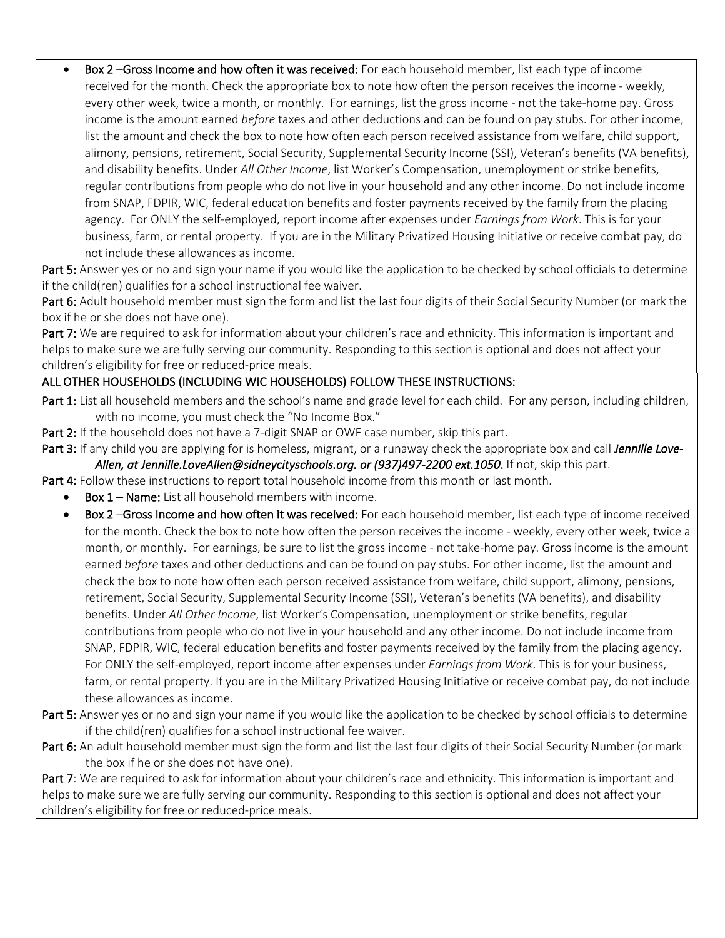Box 2 –Gross Income and how often it was received: For each household member, list each type of income received for the month. Check the appropriate box to note how often the person receives the income - weekly, every other week, twice a month, or monthly. For earnings, list the gross income - not the take-home pay. Gross income is the amount earned *before* taxes and other deductions and can be found on pay stubs. For other income, list the amount and check the box to note how often each person received assistance from welfare, child support, alimony, pensions, retirement, Social Security, Supplemental Security Income (SSI), Veteran's benefits (VA benefits), and disability benefits. Under *All Other Income*, list Worker's Compensation, unemployment or strike benefits, regular contributions from people who do not live in your household and any other income. Do not include income from SNAP, FDPIR, WIC, federal education benefits and foster payments received by the family from the placing agency. For ONLY the self-employed, report income after expenses under *Earnings from Work*. This is for your business, farm, or rental property. If you are in the Military Privatized Housing Initiative or receive combat pay, do not include these allowances as income.

Part 5: Answer yes or no and sign your name if you would like the application to be checked by school officials to determine if the child(ren) qualifies for a school instructional fee waiver.

Part 6: Adult household member must sign the form and list the last four digits of their Social Security Number (or mark the box if he or she does not have one).

Part 7: We are required to ask for information about your children's race and ethnicity. This information is important and helps to make sure we are fully serving our community. Responding to this section is optional and does not affect your children's eligibility for free or reduced-price meals.

### ALL OTHER HOUSEHOLDS (INCLUDING WIC HOUSEHOLDS) FOLLOW THESE INSTRUCTIONS:

Part 1: List all household members and the school's name and grade level for each child. For any person, including children, with no income, you must check the "No Income Box."

Part 2: If the household does not have a 7-digit SNAP or OWF case number, skip this part.

Part 3: If any child you are applying for is homeless, migrant, or a runaway check the appropriate box and call *Jennille Love-Allen, at Jennille.LoveAllen@sidneycityschools.org. or (937)497-2200 ext.1050*. If not, skip this part.

Part 4: Follow these instructions to report total household income from this month or last month.

- Box 1 Name: List all household members with income.
- Box 2 –Gross Income and how often it was received: For each household member, list each type of income received for the month. Check the box to note how often the person receives the income - weekly, every other week, twice a month, or monthly. For earnings, be sure to list the gross income - not take-home pay. Gross income is the amount earned *before* taxes and other deductions and can be found on pay stubs. For other income, list the amount and check the box to note how often each person received assistance from welfare, child support, alimony, pensions, retirement, Social Security, Supplemental Security Income (SSI), Veteran's benefits (VA benefits), and disability benefits. Under *All Other Income*, list Worker's Compensation, unemployment or strike benefits, regular contributions from people who do not live in your household and any other income. Do not include income from SNAP, FDPIR, WIC, federal education benefits and foster payments received by the family from the placing agency. For ONLY the self-employed, report income after expenses under *Earnings from Work*. This is for your business, farm, or rental property. If you are in the Military Privatized Housing Initiative or receive combat pay, do not include these allowances as income.
- Part 5: Answer yes or no and sign your name if you would like the application to be checked by school officials to determine if the child(ren) qualifies for a school instructional fee waiver.
- Part 6: An adult household member must sign the form and list the last four digits of their Social Security Number (or mark the box if he or she does not have one).

Part 7:We are required to ask for information about your children's race and ethnicity. This information is important and helps to make sure we are fully serving our community. Responding to this section is optional and does not affect your children's eligibility for free or reduced-price meals.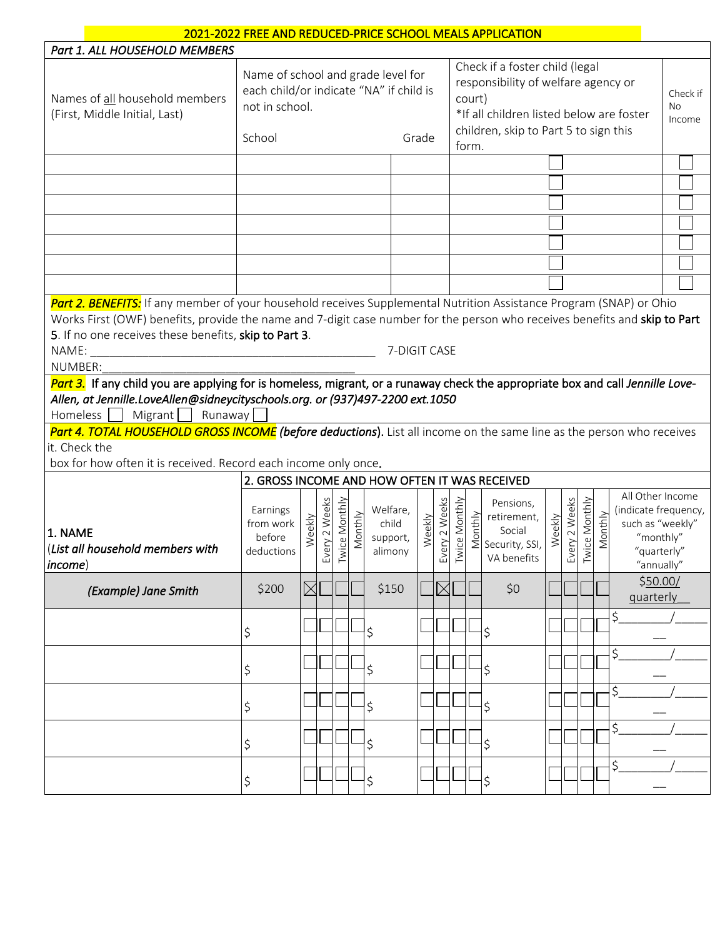| 2021-2022 FREE AND REDUCED-PRICE SCHOOL MEALS APPLICATION                                                                                                                                                                                                                                                                             |                                                                                                                                                                                                                                                                                            |             |                   |              |         |                                          |        |                   |              |                          |                                                                      |        |               |               |         |                                                                                                        |  |  |  |
|---------------------------------------------------------------------------------------------------------------------------------------------------------------------------------------------------------------------------------------------------------------------------------------------------------------------------------------|--------------------------------------------------------------------------------------------------------------------------------------------------------------------------------------------------------------------------------------------------------------------------------------------|-------------|-------------------|--------------|---------|------------------------------------------|--------|-------------------|--------------|--------------------------|----------------------------------------------------------------------|--------|---------------|---------------|---------|--------------------------------------------------------------------------------------------------------|--|--|--|
| Part 1. ALL HOUSEHOLD MEMBERS                                                                                                                                                                                                                                                                                                         |                                                                                                                                                                                                                                                                                            |             |                   |              |         |                                          |        |                   |              |                          |                                                                      |        |               |               |         |                                                                                                        |  |  |  |
| Names of all household members<br>(First, Middle Initial, Last)                                                                                                                                                                                                                                                                       | Check if a foster child (legal<br>Name of school and grade level for<br>responsibility of welfare agency or<br>each child/or indicate "NA" if child is<br>court)<br>not in school.<br>*If all children listed below are foster<br>children, skip to Part 5 to sign this<br>School<br>Grade |             |                   |              |         |                                          |        |                   |              | Check if<br>No<br>Income |                                                                      |        |               |               |         |                                                                                                        |  |  |  |
|                                                                                                                                                                                                                                                                                                                                       |                                                                                                                                                                                                                                                                                            |             |                   |              |         |                                          |        |                   | form.        |                          |                                                                      |        |               |               |         |                                                                                                        |  |  |  |
|                                                                                                                                                                                                                                                                                                                                       |                                                                                                                                                                                                                                                                                            |             |                   |              |         |                                          |        |                   |              |                          |                                                                      |        |               |               |         |                                                                                                        |  |  |  |
|                                                                                                                                                                                                                                                                                                                                       |                                                                                                                                                                                                                                                                                            |             |                   |              |         |                                          |        |                   |              |                          |                                                                      |        |               |               |         |                                                                                                        |  |  |  |
|                                                                                                                                                                                                                                                                                                                                       |                                                                                                                                                                                                                                                                                            |             |                   |              |         |                                          |        |                   |              |                          |                                                                      |        |               |               |         |                                                                                                        |  |  |  |
|                                                                                                                                                                                                                                                                                                                                       |                                                                                                                                                                                                                                                                                            |             |                   |              |         |                                          |        |                   |              |                          |                                                                      |        |               |               |         |                                                                                                        |  |  |  |
|                                                                                                                                                                                                                                                                                                                                       |                                                                                                                                                                                                                                                                                            |             |                   |              |         |                                          |        |                   |              |                          |                                                                      |        |               |               |         |                                                                                                        |  |  |  |
|                                                                                                                                                                                                                                                                                                                                       |                                                                                                                                                                                                                                                                                            |             |                   |              |         |                                          |        |                   |              |                          |                                                                      |        |               |               |         |                                                                                                        |  |  |  |
|                                                                                                                                                                                                                                                                                                                                       |                                                                                                                                                                                                                                                                                            |             |                   |              |         |                                          |        |                   |              |                          |                                                                      |        |               |               |         |                                                                                                        |  |  |  |
|                                                                                                                                                                                                                                                                                                                                       |                                                                                                                                                                                                                                                                                            |             |                   |              |         |                                          |        |                   |              |                          |                                                                      |        |               |               |         |                                                                                                        |  |  |  |
| Part 2. BENEFITS: If any member of your household receives Supplemental Nutrition Assistance Program (SNAP) or Ohio<br>Works First (OWF) benefits, provide the name and 7-digit case number for the person who receives benefits and skip to Part<br>5. If no one receives these benefits, skip to Part 3.<br>7-DIGIT CASE<br>NUMBER: |                                                                                                                                                                                                                                                                                            |             |                   |              |         |                                          |        |                   |              |                          |                                                                      |        |               |               |         |                                                                                                        |  |  |  |
| Part 3. If any child you are applying for is homeless, migrant, or a runaway check the appropriate box and call Jennille Love-<br>Allen, at Jennille.LoveAllen@sidneycityschools.org. or (937)497-2200 ext.1050<br>Homeless    <br>Migrant   Runaway                                                                                  |                                                                                                                                                                                                                                                                                            |             |                   |              |         |                                          |        |                   |              |                          |                                                                      |        |               |               |         |                                                                                                        |  |  |  |
| Part 4. TOTAL HOUSEHOLD GROSS INCOME (before deductions). List all income on the same line as the person who receives<br>it. Check the<br>box for how often it is received. Record each income only once.                                                                                                                             |                                                                                                                                                                                                                                                                                            |             |                   |              |         |                                          |        |                   |              |                          |                                                                      |        |               |               |         |                                                                                                        |  |  |  |
|                                                                                                                                                                                                                                                                                                                                       | 2. GROSS INCOME AND HOW OFTEN IT WAS RECEIVED                                                                                                                                                                                                                                              |             |                   |              |         |                                          |        |                   |              |                          |                                                                      |        |               |               |         |                                                                                                        |  |  |  |
| l1. NAME<br>(List all household members with<br>income)                                                                                                                                                                                                                                                                               | Earnings<br>from work<br>before<br>deductions                                                                                                                                                                                                                                              | Weekly      | very 2 Weeks<br>ш | wice Monthly | Monthly | Welfare,<br>child<br>support,<br>alimony | Weekly | very 2 Weeks<br>ш | wice Monthly |                          | Pensions,<br>Fretirement,<br>Social<br>Security, SSI,<br>VA benefits | Weekly | Every 2 Weeks | Twice Monthly | Monthly | All Other Income<br>(indicate frequency,<br>such as "weekly"<br>"monthly"<br>"quarterly"<br>"annually" |  |  |  |
| (Example) Jane Smith                                                                                                                                                                                                                                                                                                                  | \$200                                                                                                                                                                                                                                                                                      | $\boxtimes$ |                   |              |         | \$150                                    |        | $\boxtimes$       |              |                          | \$0                                                                  |        |               |               |         | \$50.00/<br>quarterly                                                                                  |  |  |  |
|                                                                                                                                                                                                                                                                                                                                       | \$                                                                                                                                                                                                                                                                                         |             |                   |              |         | \$                                       |        |                   |              |                          | \$                                                                   |        |               |               |         | \$                                                                                                     |  |  |  |
|                                                                                                                                                                                                                                                                                                                                       | \$                                                                                                                                                                                                                                                                                         |             |                   |              |         | \$                                       |        |                   |              |                          | \$                                                                   |        |               |               |         | \$                                                                                                     |  |  |  |
|                                                                                                                                                                                                                                                                                                                                       | \$                                                                                                                                                                                                                                                                                         |             |                   |              |         | \$                                       |        |                   |              |                          | \$                                                                   |        |               |               |         | \$.                                                                                                    |  |  |  |
|                                                                                                                                                                                                                                                                                                                                       | \$                                                                                                                                                                                                                                                                                         |             |                   |              |         | \$                                       |        |                   |              |                          | \$                                                                   |        |               |               |         | \$                                                                                                     |  |  |  |
|                                                                                                                                                                                                                                                                                                                                       | \$                                                                                                                                                                                                                                                                                         |             |                   |              |         | \$                                       |        |                   |              |                          | \$                                                                   |        |               |               |         | \$                                                                                                     |  |  |  |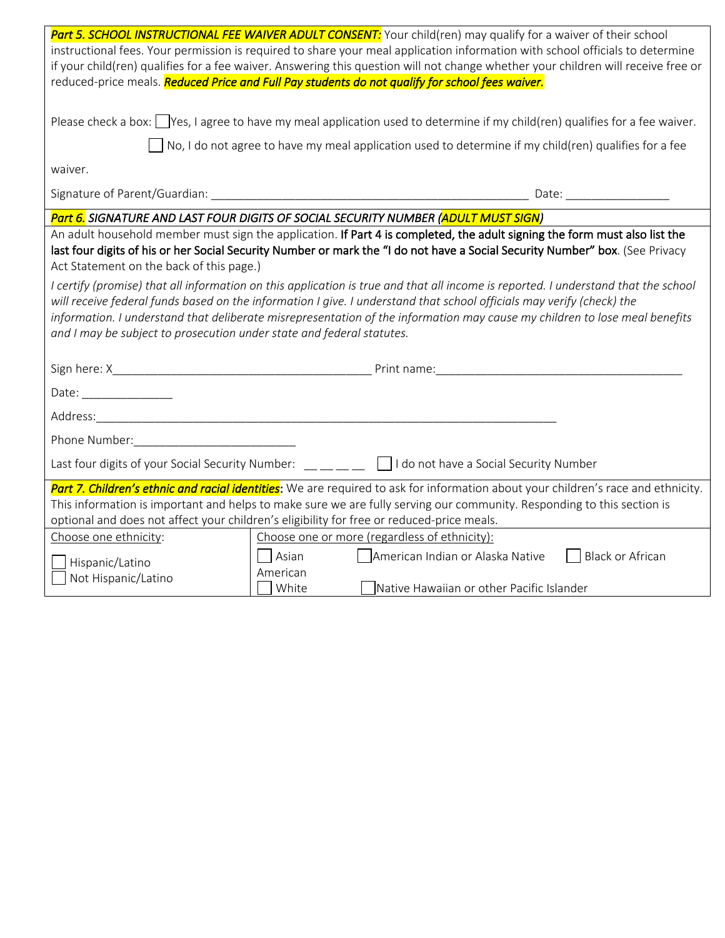|                                                                                                                                    | Part 5. SCHOOL INSTRUCTIONAL FEE WAIVER ADULT CONSENT: Your child(ren) may qualify for a waiver of their school                                                                                                                                            |  |  |  |  |  |  |  |
|------------------------------------------------------------------------------------------------------------------------------------|------------------------------------------------------------------------------------------------------------------------------------------------------------------------------------------------------------------------------------------------------------|--|--|--|--|--|--|--|
| instructional fees. Your permission is required to share your meal application information with school officials to determine      |                                                                                                                                                                                                                                                            |  |  |  |  |  |  |  |
| if your child(ren) qualifies for a fee waiver. Answering this question will not change whether your children will receive free or  |                                                                                                                                                                                                                                                            |  |  |  |  |  |  |  |
| reduced-price meals. Reduced Price and Full Pay students do not qualify for school fees waiver.                                    |                                                                                                                                                                                                                                                            |  |  |  |  |  |  |  |
|                                                                                                                                    |                                                                                                                                                                                                                                                            |  |  |  |  |  |  |  |
| Please check a box: $\Box$ Yes, I agree to have my meal application used to determine if my child(ren) qualifies for a fee waiver. |                                                                                                                                                                                                                                                            |  |  |  |  |  |  |  |
| $\Box$ No, I do not agree to have my meal application used to determine if my child(ren) qualifies for a fee                       |                                                                                                                                                                                                                                                            |  |  |  |  |  |  |  |
| waiver.                                                                                                                            |                                                                                                                                                                                                                                                            |  |  |  |  |  |  |  |
|                                                                                                                                    |                                                                                                                                                                                                                                                            |  |  |  |  |  |  |  |
|                                                                                                                                    | Part 6. SIGNATURE AND LAST FOUR DIGITS OF SOCIAL SECURITY NUMBER (ADULT MUST SIGN)                                                                                                                                                                         |  |  |  |  |  |  |  |
| Act Statement on the back of this page.)                                                                                           | An adult household member must sign the application. If Part 4 is completed, the adult signing the form must also list the<br>last four digits of his or her Social Security Number or mark the "I do not have a Social Security Number" box. (See Privacy |  |  |  |  |  |  |  |
|                                                                                                                                    | I certify (promise) that all information on this application is true and that all income is reported. I understand that the school                                                                                                                         |  |  |  |  |  |  |  |
|                                                                                                                                    | will receive federal funds based on the information I give. I understand that school officials may verify (check) the                                                                                                                                      |  |  |  |  |  |  |  |
|                                                                                                                                    | information. I understand that deliberate misrepresentation of the information may cause my children to lose meal benefits                                                                                                                                 |  |  |  |  |  |  |  |
| and I may be subject to prosecution under state and federal statutes.                                                              |                                                                                                                                                                                                                                                            |  |  |  |  |  |  |  |
|                                                                                                                                    |                                                                                                                                                                                                                                                            |  |  |  |  |  |  |  |
|                                                                                                                                    |                                                                                                                                                                                                                                                            |  |  |  |  |  |  |  |
|                                                                                                                                    |                                                                                                                                                                                                                                                            |  |  |  |  |  |  |  |
| Date: ________________                                                                                                             |                                                                                                                                                                                                                                                            |  |  |  |  |  |  |  |
|                                                                                                                                    |                                                                                                                                                                                                                                                            |  |  |  |  |  |  |  |
|                                                                                                                                    |                                                                                                                                                                                                                                                            |  |  |  |  |  |  |  |
|                                                                                                                                    | Last four digits of your Social Security Number: $\Box \Box \Box \Box$ I do not have a Social Security Number                                                                                                                                              |  |  |  |  |  |  |  |
|                                                                                                                                    | Part 7. Children's ethnic and racial identities: We are required to ask for information about your children's race and ethnicity.                                                                                                                          |  |  |  |  |  |  |  |
|                                                                                                                                    | This information is important and helps to make sure we are fully serving our community. Responding to this section is                                                                                                                                     |  |  |  |  |  |  |  |
|                                                                                                                                    | optional and does not affect your children's eligibility for free or reduced-price meals.                                                                                                                                                                  |  |  |  |  |  |  |  |
| Choose one ethnicity:                                                                                                              | Choose one or more (regardless of ethnicity):                                                                                                                                                                                                              |  |  |  |  |  |  |  |
|                                                                                                                                    | Black or African<br>Asian<br>    American Indian or Alaska Native                                                                                                                                                                                          |  |  |  |  |  |  |  |
| Hispanic/Latino<br>Not Hispanic/Latino                                                                                             | American<br>White<br>Native Hawaiian or other Pacific Islander                                                                                                                                                                                             |  |  |  |  |  |  |  |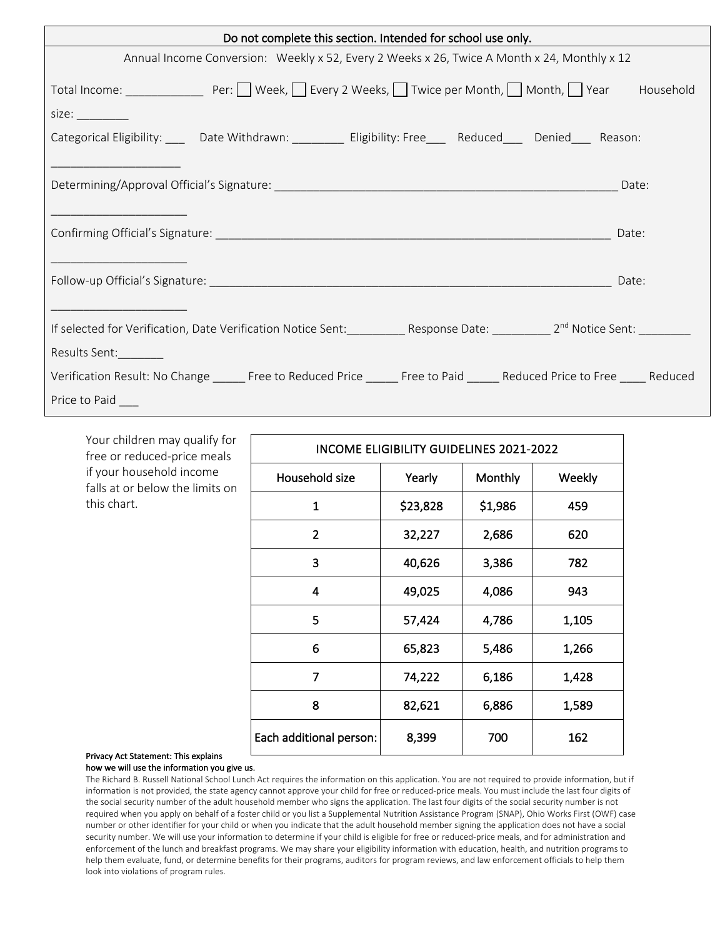| Do not complete this section. Intended for school use only.                                                                              |  |  |  |       |  |  |  |  |
|------------------------------------------------------------------------------------------------------------------------------------------|--|--|--|-------|--|--|--|--|
| Annual Income Conversion: Weekly x 52, Every 2 Weeks x 26, Twice A Month x 24, Monthly x 12                                              |  |  |  |       |  |  |  |  |
|                                                                                                                                          |  |  |  |       |  |  |  |  |
| size: $\frac{1}{1}$                                                                                                                      |  |  |  |       |  |  |  |  |
| Categorical Eligibility: _____ Date Withdrawn: __________ Eligibility: Free____ Reduced____ Denied____ Reason:                           |  |  |  |       |  |  |  |  |
|                                                                                                                                          |  |  |  |       |  |  |  |  |
|                                                                                                                                          |  |  |  |       |  |  |  |  |
|                                                                                                                                          |  |  |  |       |  |  |  |  |
|                                                                                                                                          |  |  |  | Date: |  |  |  |  |
|                                                                                                                                          |  |  |  |       |  |  |  |  |
|                                                                                                                                          |  |  |  | Date: |  |  |  |  |
|                                                                                                                                          |  |  |  |       |  |  |  |  |
| If selected for Verification, Date Verification Notice Sent: ___________Response Date: ___________2 <sup>nd</sup> Notice Sent: _________ |  |  |  |       |  |  |  |  |
| Results Sent:                                                                                                                            |  |  |  |       |  |  |  |  |
| Verification Result: No Change ______ Free to Reduced Price _____ Free to Paid _____ Reduced Price to Free ____ Reduced                  |  |  |  |       |  |  |  |  |
| Price to Paid ____                                                                                                                       |  |  |  |       |  |  |  |  |

Your children may qualify for free or reduced-price meals if your household income falls at or below the limits on this chart.

| <b>INCOME ELIGIBILITY GUIDELINES 2021-2022</b> |          |         |        |  |  |  |  |  |  |
|------------------------------------------------|----------|---------|--------|--|--|--|--|--|--|
| Household size                                 | Yearly   | Monthly | Weekly |  |  |  |  |  |  |
| 1                                              | \$23,828 | \$1,986 | 459    |  |  |  |  |  |  |
| $\overline{2}$                                 | 32,227   | 2,686   | 620    |  |  |  |  |  |  |
| 3                                              | 40,626   | 3,386   | 782    |  |  |  |  |  |  |
| 4                                              | 49,025   | 4,086   | 943    |  |  |  |  |  |  |
| 5                                              | 57,424   | 4,786   | 1,105  |  |  |  |  |  |  |
| 6                                              | 65,823   | 5,486   | 1,266  |  |  |  |  |  |  |
| 7                                              | 74,222   | 6,186   | 1,428  |  |  |  |  |  |  |
| 8                                              | 82,621   | 6,886   | 1,589  |  |  |  |  |  |  |
| Each additional person:                        | 8,399    | 700     | 162    |  |  |  |  |  |  |

### Privacy Act Statement: This explains

### how we will use the information you give us.

The Richard B. Russell National School Lunch Act requires the information on this application. You are not required to provide information, but if information is not provided, the state agency cannot approve your child for free or reduced-price meals. You must include the last four digits of the social security number of the adult household member who signs the application. The last four digits of the social security number is not required when you apply on behalf of a foster child or you list a Supplemental Nutrition Assistance Program (SNAP), Ohio Works First (OWF) case number or other identifier for your child or when you indicate that the adult household member signing the application does not have a social security number. We will use your information to determine if your child is eligible for free or reduced-price meals, and for administration and enforcement of the lunch and breakfast programs. We may share your eligibility information with education, health, and nutrition programs to help them evaluate, fund, or determine benefits for their programs, auditors for program reviews, and law enforcement officials to help them look into violations of program rules.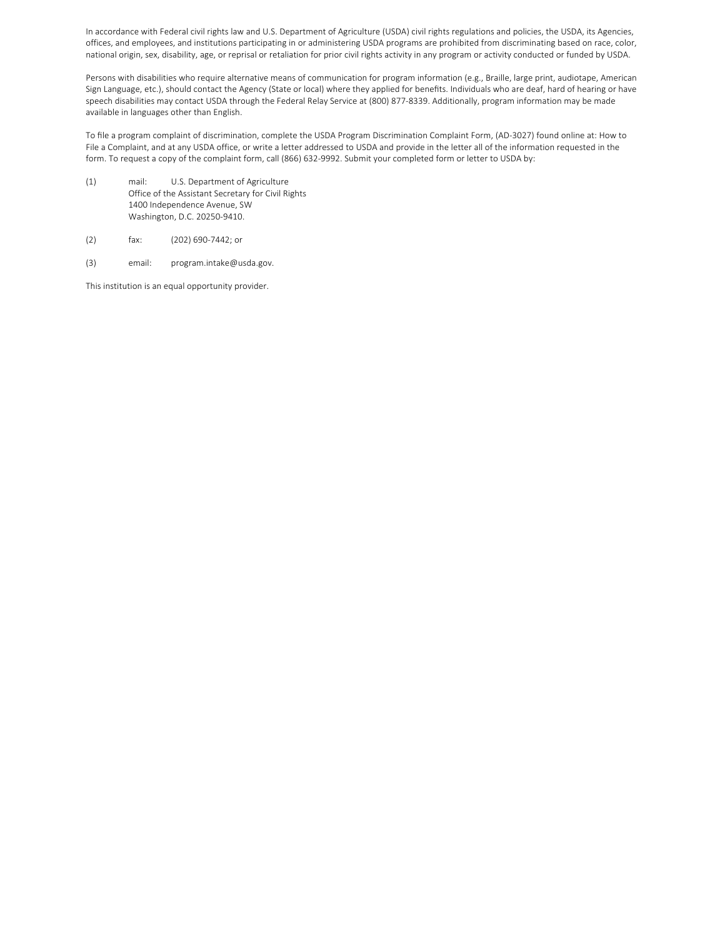In accordance with Federal civil rights law and U.S. Department of Agriculture (USDA) civil rights regulations and policies, the USDA, its Agencies, offices, and employees, and institutions participating in or administering USDA programs are prohibited from discriminating based on race, color, national origin, sex, disability, age, or reprisal or retaliation for prior civil rights activity in any program or activity conducted or funded by USDA.

Persons with disabilities who require alternative means of communication for program information (e.g., Braille, large print, audiotape, American Sign Language, etc.), should contact the Agency (State or local) where they applied for benefits. Individuals who are deaf, hard of hearing or have speech disabilities may contact USDA through the Federal Relay Service at (800) 877-8339. Additionally, program information may be made available in languages other than English.

To file a program complaint of discrimination, complete the USDA Program Discrimination Complaint Form, (AD-3027) found online at: How to File a Complaint, and at any USDA office, or write a letter addressed to USDA and provide in the letter all of the information requested in the form. To request a copy of the complaint form, call (866) 632-9992. Submit your completed form or letter to USDA by:

- (1) mail: U.S. Department of Agriculture Office of the Assistant Secretary for Civil Rights 1400 Independence Avenue, SW Washington, D.C. 20250-9410.
- (2) fax: (202) 690-7442; or
- (3) email: program.intake@usda.gov.

This institution is an equal opportunity provider.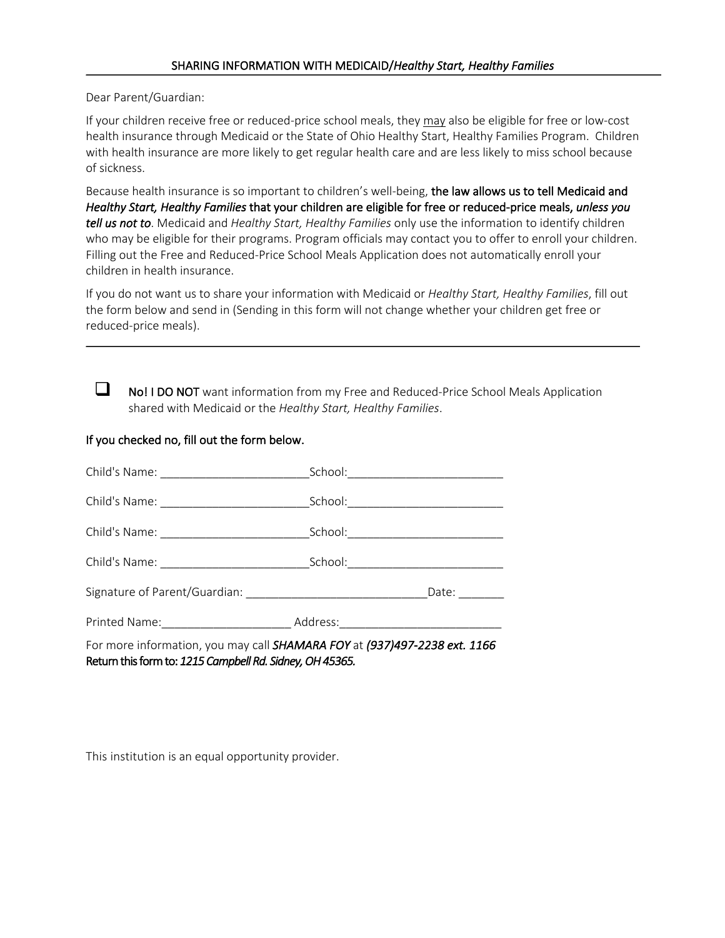Dear Parent/Guardian:

If your children receive free or reduced-price school meals, they may also be eligible for free or low-cost health insurance through Medicaid or the State of Ohio Healthy Start, Healthy Families Program. Children with health insurance are more likely to get regular health care and are less likely to miss school because of sickness.

Because health insurance is so important to children's well-being, the law allows us to tell Medicaid and *Healthy Start, Healthy Families* that your children are eligible for free or reduced-price meals, *unless you tell us not to*. Medicaid and *Healthy Start, Healthy Families* only use the information to identify children who may be eligible for their programs. Program officials may contact you to offer to enroll your children. Filling out the Free and Reduced-Price School Meals Application does not automatically enroll your children in health insurance.

If you do not want us to share your information with Medicaid or *Healthy Start, Healthy Families*, fill out the form below and send in (Sending in this form will not change whether your children get free or reduced-price meals).



 $\Box$  No! I DO NOT want information from my Free and Reduced-Price School Meals Application shared with Medicaid or the *Healthy Start, Healthy Families*.

### If you checked no, fill out the form below.

| Child's Name: ______________________________                                      | School:_____________________________ |             |
|-----------------------------------------------------------------------------------|--------------------------------------|-------------|
|                                                                                   |                                      |             |
|                                                                                   |                                      | Date: Date: |
| Printed Name: __________________________________Address: ________________________ |                                      |             |
| For more information, you may call SHAMARA FOY at (937)497-2238 ext. 1166         |                                      |             |

Return this form to: *1215 Campbell Rd. Sidney, OH 45365.*

This institution is an equal opportunity provider.